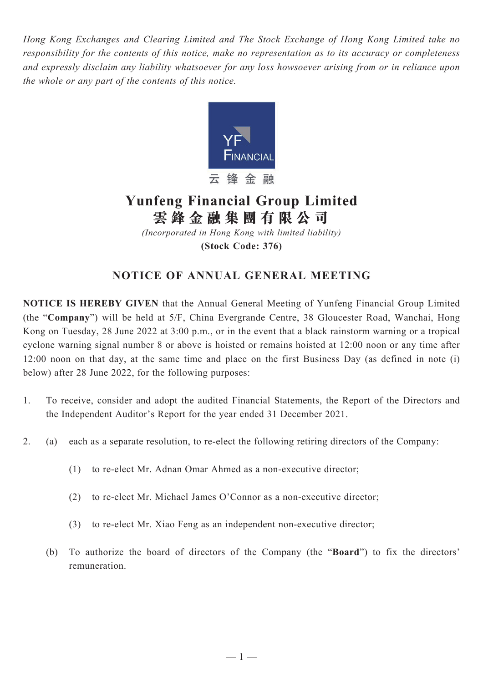*Hong Kong Exchanges and Clearing Limited and The Stock Exchange of Hong Kong Limited take no responsibility for the contents of this notice, make no representation as to its accuracy or completeness and expressly disclaim any liability whatsoever for any loss howsoever arising from or in reliance upon the whole or any part of the contents of this notice.*



# **Yunfeng Financial Group Limited 雲 鋒 金 融 集 團 有 限 公 司**

*(Incorporated in Hong Kong with limited liability)* **(Stock Code: 376)**

# **NOTICE OF ANNUAL GENERAL MEETING**

**NOTICE IS HEREBY GIVEN** that the Annual General Meeting of Yunfeng Financial Group Limited (the "**Company**") will be held at 5/F, China Evergrande Centre, 38 Gloucester Road, Wanchai, Hong Kong on Tuesday, 28 June 2022 at 3:00 p.m., or in the event that a black rainstorm warning or a tropical cyclone warning signal number 8 or above is hoisted or remains hoisted at 12:00 noon or any time after 12:00 noon on that day, at the same time and place on the first Business Day (as defined in note (i) below) after 28 June 2022, for the following purposes:

- 1. To receive, consider and adopt the audited Financial Statements, the Report of the Directors and the Independent Auditor's Report for the year ended 31 December 2021.
- 2. (a) each as a separate resolution, to re-elect the following retiring directors of the Company:
	- (1) to re-elect Mr. Adnan Omar Ahmed as a non-executive director;
	- (2) to re-elect Mr. Michael James O'Connor as a non-executive director;
	- (3) to re-elect Mr. Xiao Feng as an independent non-executive director;
	- (b) To authorize the board of directors of the Company (the "**Board**") to fix the directors' remuneration.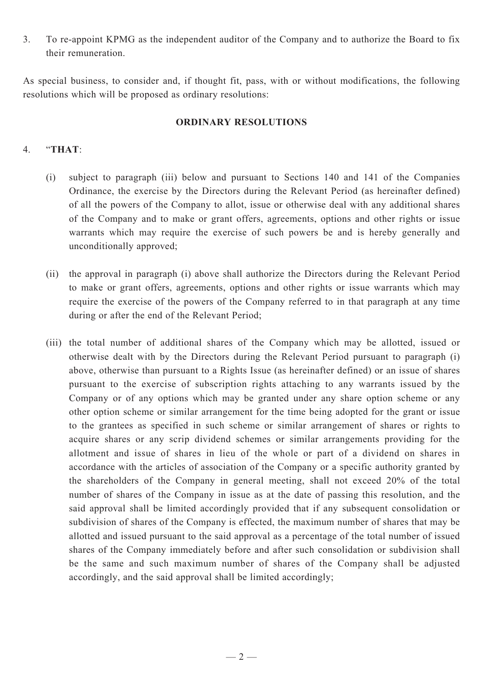3. To re-appoint KPMG as the independent auditor of the Company and to authorize the Board to fix their remuneration.

As special business, to consider and, if thought fit, pass, with or without modifications, the following resolutions which will be proposed as ordinary resolutions:

#### **ORDINARY RESOLUTIONS**

### 4. "**THAT**:

- (i) subject to paragraph (iii) below and pursuant to Sections 140 and 141 of the Companies Ordinance, the exercise by the Directors during the Relevant Period (as hereinafter defined) of all the powers of the Company to allot, issue or otherwise deal with any additional shares of the Company and to make or grant offers, agreements, options and other rights or issue warrants which may require the exercise of such powers be and is hereby generally and unconditionally approved;
- (ii) the approval in paragraph (i) above shall authorize the Directors during the Relevant Period to make or grant offers, agreements, options and other rights or issue warrants which may require the exercise of the powers of the Company referred to in that paragraph at any time during or after the end of the Relevant Period;
- (iii) the total number of additional shares of the Company which may be allotted, issued or otherwise dealt with by the Directors during the Relevant Period pursuant to paragraph (i) above, otherwise than pursuant to a Rights Issue (as hereinafter defined) or an issue of shares pursuant to the exercise of subscription rights attaching to any warrants issued by the Company or of any options which may be granted under any share option scheme or any other option scheme or similar arrangement for the time being adopted for the grant or issue to the grantees as specified in such scheme or similar arrangement of shares or rights to acquire shares or any scrip dividend schemes or similar arrangements providing for the allotment and issue of shares in lieu of the whole or part of a dividend on shares in accordance with the articles of association of the Company or a specific authority granted by the shareholders of the Company in general meeting, shall not exceed 20% of the total number of shares of the Company in issue as at the date of passing this resolution, and the said approval shall be limited accordingly provided that if any subsequent consolidation or subdivision of shares of the Company is effected, the maximum number of shares that may be allotted and issued pursuant to the said approval as a percentage of the total number of issued shares of the Company immediately before and after such consolidation or subdivision shall be the same and such maximum number of shares of the Company shall be adjusted accordingly, and the said approval shall be limited accordingly;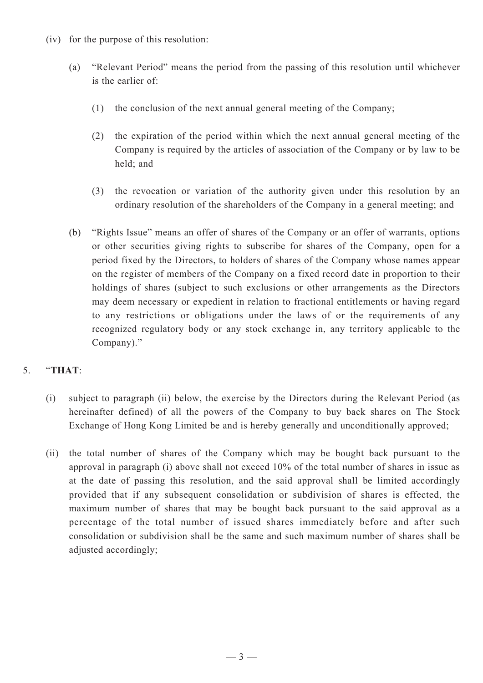- (iv) for the purpose of this resolution:
	- (a) "Relevant Period" means the period from the passing of this resolution until whichever is the earlier of:
		- (1) the conclusion of the next annual general meeting of the Company;
		- (2) the expiration of the period within which the next annual general meeting of the Company is required by the articles of association of the Company or by law to be held; and
		- (3) the revocation or variation of the authority given under this resolution by an ordinary resolution of the shareholders of the Company in a general meeting; and
	- (b) "Rights Issue" means an offer of shares of the Company or an offer of warrants, options or other securities giving rights to subscribe for shares of the Company, open for a period fixed by the Directors, to holders of shares of the Company whose names appear on the register of members of the Company on a fixed record date in proportion to their holdings of shares (subject to such exclusions or other arrangements as the Directors may deem necessary or expedient in relation to fractional entitlements or having regard to any restrictions or obligations under the laws of or the requirements of any recognized regulatory body or any stock exchange in, any territory applicable to the Company)."

## 5. "**THAT**:

- (i) subject to paragraph (ii) below, the exercise by the Directors during the Relevant Period (as hereinafter defined) of all the powers of the Company to buy back shares on The Stock Exchange of Hong Kong Limited be and is hereby generally and unconditionally approved;
- (ii) the total number of shares of the Company which may be bought back pursuant to the approval in paragraph (i) above shall not exceed 10% of the total number of shares in issue as at the date of passing this resolution, and the said approval shall be limited accordingly provided that if any subsequent consolidation or subdivision of shares is effected, the maximum number of shares that may be bought back pursuant to the said approval as a percentage of the total number of issued shares immediately before and after such consolidation or subdivision shall be the same and such maximum number of shares shall be adjusted accordingly;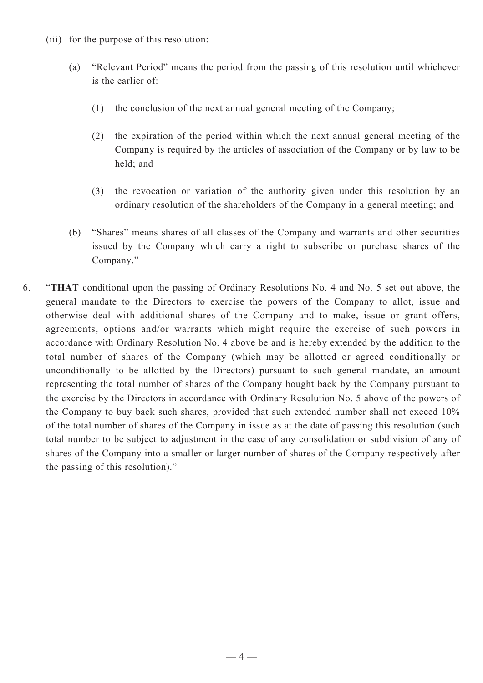- (iii) for the purpose of this resolution:
	- (a) "Relevant Period" means the period from the passing of this resolution until whichever is the earlier of:
		- (1) the conclusion of the next annual general meeting of the Company;
		- (2) the expiration of the period within which the next annual general meeting of the Company is required by the articles of association of the Company or by law to be held; and
		- (3) the revocation or variation of the authority given under this resolution by an ordinary resolution of the shareholders of the Company in a general meeting; and
	- (b) "Shares" means shares of all classes of the Company and warrants and other securities issued by the Company which carry a right to subscribe or purchase shares of the Company."
- 6. "**THAT** conditional upon the passing of Ordinary Resolutions No. 4 and No. 5 set out above, the general mandate to the Directors to exercise the powers of the Company to allot, issue and otherwise deal with additional shares of the Company and to make, issue or grant offers, agreements, options and/or warrants which might require the exercise of such powers in accordance with Ordinary Resolution No. 4 above be and is hereby extended by the addition to the total number of shares of the Company (which may be allotted or agreed conditionally or unconditionally to be allotted by the Directors) pursuant to such general mandate, an amount representing the total number of shares of the Company bought back by the Company pursuant to the exercise by the Directors in accordance with Ordinary Resolution No. 5 above of the powers of the Company to buy back such shares, provided that such extended number shall not exceed 10% of the total number of shares of the Company in issue as at the date of passing this resolution (such total number to be subject to adjustment in the case of any consolidation or subdivision of any of shares of the Company into a smaller or larger number of shares of the Company respectively after the passing of this resolution)."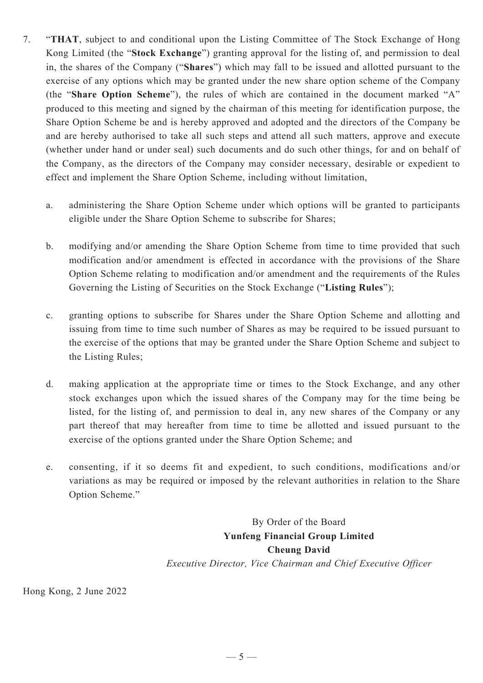- 7. "**THAT**, subject to and conditional upon the Listing Committee of The Stock Exchange of Hong Kong Limited (the "**Stock Exchange**") granting approval for the listing of, and permission to deal in, the shares of the Company ("**Shares**") which may fall to be issued and allotted pursuant to the exercise of any options which may be granted under the new share option scheme of the Company (the "**Share Option Scheme**"), the rules of which are contained in the document marked "A" produced to this meeting and signed by the chairman of this meeting for identification purpose, the Share Option Scheme be and is hereby approved and adopted and the directors of the Company be and are hereby authorised to take all such steps and attend all such matters, approve and execute (whether under hand or under seal) such documents and do such other things, for and on behalf of the Company, as the directors of the Company may consider necessary, desirable or expedient to effect and implement the Share Option Scheme, including without limitation,
	- a. administering the Share Option Scheme under which options will be granted to participants eligible under the Share Option Scheme to subscribe for Shares;
	- b. modifying and/or amending the Share Option Scheme from time to time provided that such modification and/or amendment is effected in accordance with the provisions of the Share Option Scheme relating to modification and/or amendment and the requirements of the Rules Governing the Listing of Securities on the Stock Exchange ("**Listing Rules**");
	- c. granting options to subscribe for Shares under the Share Option Scheme and allotting and issuing from time to time such number of Shares as may be required to be issued pursuant to the exercise of the options that may be granted under the Share Option Scheme and subject to the Listing Rules;
	- d. making application at the appropriate time or times to the Stock Exchange, and any other stock exchanges upon which the issued shares of the Company may for the time being be listed, for the listing of, and permission to deal in, any new shares of the Company or any part thereof that may hereafter from time to time be allotted and issued pursuant to the exercise of the options granted under the Share Option Scheme; and
	- e. consenting, if it so deems fit and expedient, to such conditions, modifications and/or variations as may be required or imposed by the relevant authorities in relation to the Share Option Scheme."

By Order of the Board **Yunfeng Financial Group Limited Cheung David** *Executive Director, Vice Chairman and Chief Executive Officer*

Hong Kong, 2 June 2022

 $-5-$